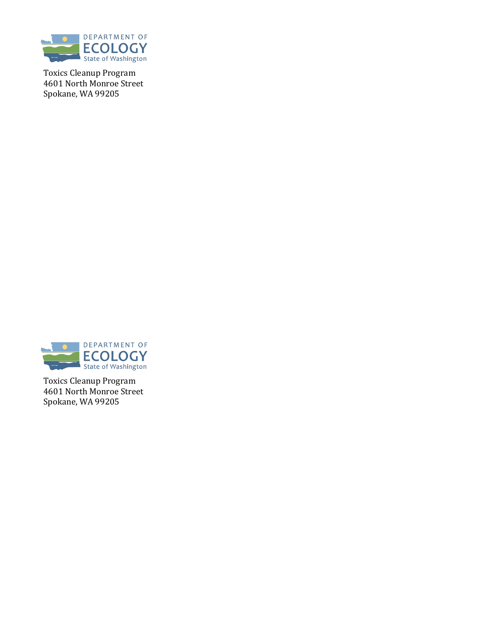

Toxics Cleanup Program 4601 North Monroe Street Spokane, WA 99205



Toxics Cleanup Program 4601 North Monroe Street Spokane, WA 99205